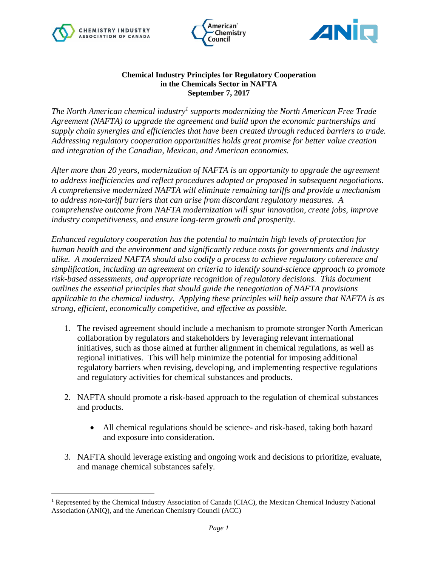





## **Chemical Industry Principles for Regulatory Cooperation in the Chemicals Sector in NAFTA September 7, 2017**

*The North American chemical industry<sup>1</sup> supports modernizing the North American Free Trade Agreement (NAFTA) to upgrade the agreement and build upon the economic partnerships and supply chain synergies and efficiencies that have been created through reduced barriers to trade. Addressing regulatory cooperation opportunities holds great promise for better value creation and integration of the Canadian, Mexican, and American economies.*

*After more than 20 years, modernization of NAFTA is an opportunity to upgrade the agreement to address inefficiencies and reflect procedures adopted or proposed in subsequent negotiations. A comprehensive modernized NAFTA will eliminate remaining tariffs and provide a mechanism to address non-tariff barriers that can arise from discordant regulatory measures. A comprehensive outcome from NAFTA modernization will spur innovation, create jobs, improve industry competitiveness, and ensure long-term growth and prosperity.* 

*Enhanced regulatory cooperation has the potential to maintain high levels of protection for human health and the environment and significantly reduce costs for governments and industry alike. A modernized NAFTA should also codify a process to achieve regulatory coherence and simplification, including an agreement on criteria to identify sound-science approach to promote risk-based assessments, and appropriate recognition of regulatory decisions. This document outlines the essential principles that should guide the renegotiation of NAFTA provisions applicable to the chemical industry. Applying these principles will help assure that NAFTA is as strong, efficient, economically competitive, and effective as possible.* 

- 1. The revised agreement should include a mechanism to promote stronger North American collaboration by regulators and stakeholders by leveraging relevant international initiatives, such as those aimed at further alignment in chemical regulations, as well as regional initiatives. This will help minimize the potential for imposing additional regulatory barriers when revising, developing, and implementing respective regulations and regulatory activities for chemical substances and products.
- 2. NAFTA should promote a risk-based approach to the regulation of chemical substances and products.
	- All chemical regulations should be science- and risk-based, taking both hazard and exposure into consideration.
- 3. NAFTA should leverage existing and ongoing work and decisions to prioritize, evaluate, and manage chemical substances safely.

 $\overline{a}$ <sup>1</sup> Represented by the Chemical Industry Association of Canada (CIAC), the Mexican Chemical Industry National Association (ANIQ), and the American Chemistry Council (ACC)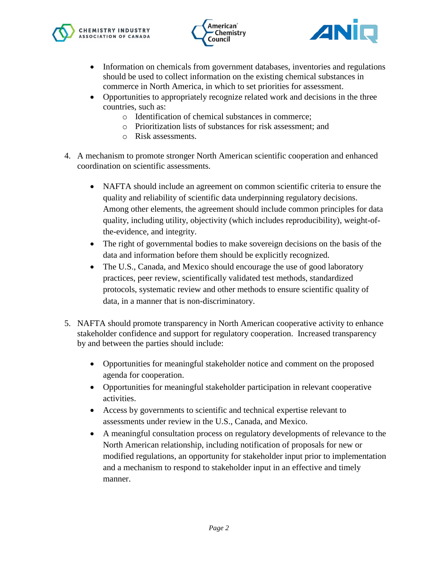





- Information on chemicals from government databases, inventories and regulations should be used to collect information on the existing chemical substances in commerce in North America, in which to set priorities for assessment.
- Opportunities to appropriately recognize related work and decisions in the three countries, such as:
	- o Identification of chemical substances in commerce;
	- o Prioritization lists of substances for risk assessment; and
	- o Risk assessments.
- 4. A mechanism to promote stronger North American scientific cooperation and enhanced coordination on scientific assessments.
	- NAFTA should include an agreement on common scientific criteria to ensure the quality and reliability of scientific data underpinning regulatory decisions. Among other elements, the agreement should include common principles for data quality, including utility, objectivity (which includes reproducibility), weight-ofthe-evidence, and integrity.
	- The right of governmental bodies to make sovereign decisions on the basis of the data and information before them should be explicitly recognized.
	- The U.S., Canada, and Mexico should encourage the use of good laboratory practices, peer review, scientifically validated test methods, standardized protocols, systematic review and other methods to ensure scientific quality of data, in a manner that is non-discriminatory.
- 5. NAFTA should promote transparency in North American cooperative activity to enhance stakeholder confidence and support for regulatory cooperation. Increased transparency by and between the parties should include:
	- Opportunities for meaningful stakeholder notice and comment on the proposed agenda for cooperation.
	- Opportunities for meaningful stakeholder participation in relevant cooperative activities.
	- Access by governments to scientific and technical expertise relevant to assessments under review in the U.S., Canada, and Mexico.
	- A meaningful consultation process on regulatory developments of relevance to the North American relationship, including notification of proposals for new or modified regulations, an opportunity for stakeholder input prior to implementation and a mechanism to respond to stakeholder input in an effective and timely manner.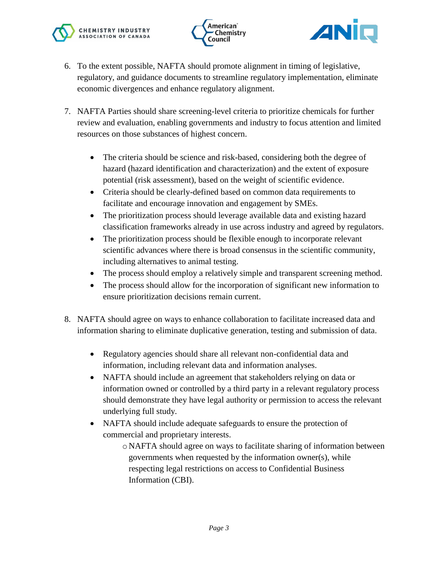





- 6. To the extent possible, NAFTA should promote alignment in timing of legislative, regulatory, and guidance documents to streamline regulatory implementation, eliminate economic divergences and enhance regulatory alignment.
- 7. NAFTA Parties should share screening-level criteria to prioritize chemicals for further review and evaluation, enabling governments and industry to focus attention and limited resources on those substances of highest concern.
	- The criteria should be science and risk-based, considering both the degree of hazard (hazard identification and characterization) and the extent of exposure potential (risk assessment), based on the weight of scientific evidence.
	- Criteria should be clearly-defined based on common data requirements to facilitate and encourage innovation and engagement by SMEs.
	- The prioritization process should leverage available data and existing hazard classification frameworks already in use across industry and agreed by regulators.
	- The prioritization process should be flexible enough to incorporate relevant scientific advances where there is broad consensus in the scientific community, including alternatives to animal testing.
	- The process should employ a relatively simple and transparent screening method.
	- The process should allow for the incorporation of significant new information to ensure prioritization decisions remain current.
- 8. NAFTA should agree on ways to enhance collaboration to facilitate increased data and information sharing to eliminate duplicative generation, testing and submission of data.
	- Regulatory agencies should share all relevant non-confidential data and information, including relevant data and information analyses.
	- NAFTA should include an agreement that stakeholders relying on data or information owned or controlled by a third party in a relevant regulatory process should demonstrate they have legal authority or permission to access the relevant underlying full study.
	- NAFTA should include adequate safeguards to ensure the protection of commercial and proprietary interests.
		- o NAFTA should agree on ways to facilitate sharing of information between governments when requested by the information owner(s), while respecting legal restrictions on access to Confidential Business Information (CBI).